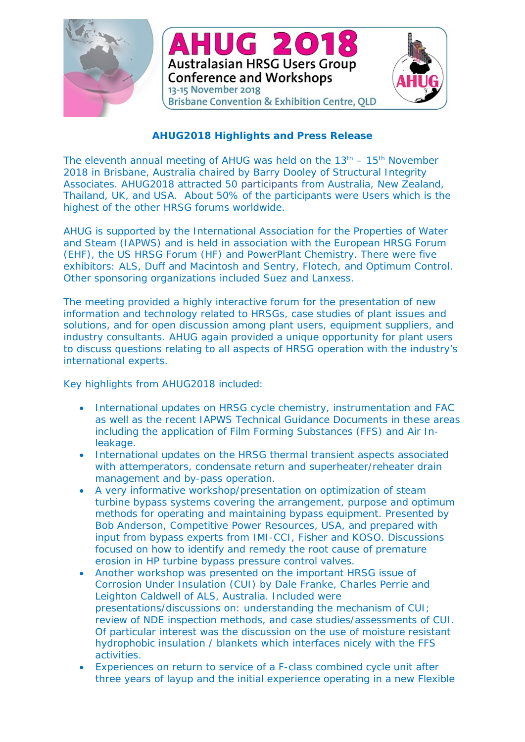

## **AHUG2018 Highlights and Press Release**

The eleventh annual meeting of AHUG was held on the  $13<sup>th</sup> - 15<sup>th</sup>$  November 2018 in Brisbane, Australia chaired by Barry Dooley of Structural Integrity Associates. AHUG2018 attracted 50 participants from Australia, New Zealand, Thailand, UK, and USA. About 50% of the participants were Users which is the highest of the other HRSG forums worldwide.

AHUG is supported by the International Association for the Properties of Water and Steam (IAPWS) and is held in association with the European HRSG Forum (EHF), the US HRSG Forum (HF) and PowerPlant Chemistry. There were five exhibitors: ALS, Duff and Macintosh and Sentry, Flotech, and Optimum Control. Other sponsoring organizations included Suez and Lanxess.

The meeting provided a highly interactive forum for the presentation of new information and technology related to HRSGs, case studies of plant issues and solutions, and for open discussion among plant users, equipment suppliers, and industry consultants. AHUG again provided a unique opportunity for plant users to discuss questions relating to all aspects of HRSG operation with the industry's international experts.

Key highlights from AHUG2018 included:

- International updates on HRSG cycle chemistry, instrumentation and FAC as well as the recent IAPWS Technical Guidance Documents in these areas including the application of Film Forming Substances (FFS) and Air Inleakage.
- International updates on the HRSG thermal transient aspects associated with attemperators, condensate return and superheater/reheater drain management and by-pass operation.
- A very informative workshop/presentation on optimization of steam turbine bypass systems covering the arrangement, purpose and optimum methods for operating and maintaining bypass equipment. Presented by Bob Anderson, Competitive Power Resources, USA, and prepared with input from bypass experts from IMI-CCI, Fisher and KOSO. Discussions focused on how to identify and remedy the root cause of premature erosion in HP turbine bypass pressure control valves.
- Another workshop was presented on the important HRSG issue of Corrosion Under Insulation (CUI) by Dale Franke, Charles Perrie and Leighton Caldwell of ALS, Australia. Included were presentations/discussions on: understanding the mechanism of CUI; review of NDE inspection methods, and case studies/assessments of CUI. Of particular interest was the discussion on the use of moisture resistant hydrophobic insulation / blankets which interfaces nicely with the FFS activities.
- Experiences on return to service of a F-class combined cycle unit after three years of layup and the initial experience operating in a new Flexible